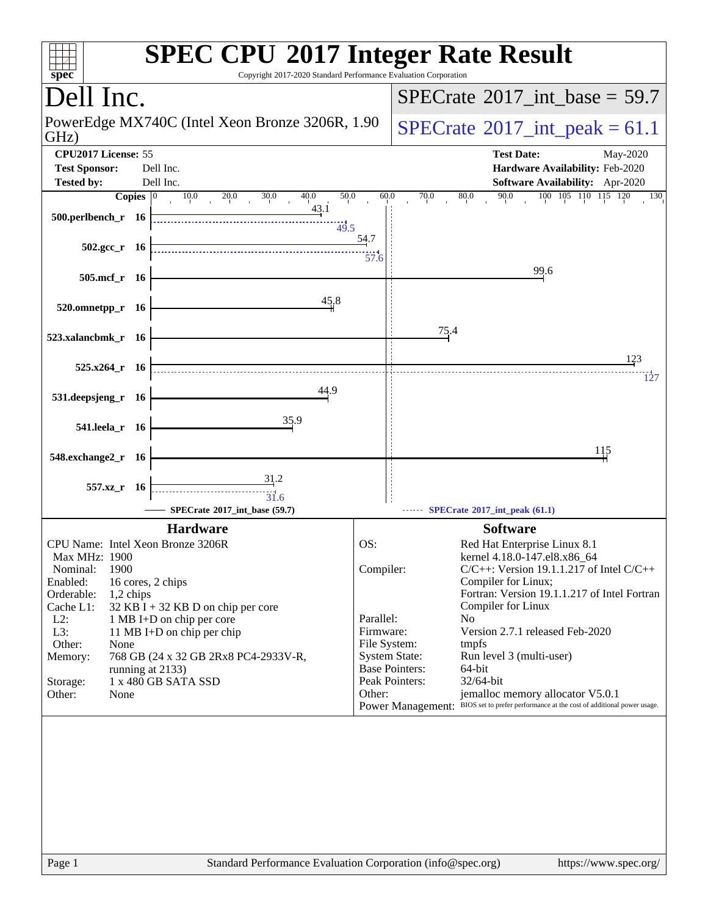| spec <sup>®</sup>                                                                                                                                                                                                                                                                                                                                                                                                        | <b>SPEC CPU®2017 Integer Rate Result</b><br>Copyright 2017-2020 Standard Performance Evaluation Corporation                                                                                                                                                                                                                                                                                                                                                                                                                                                                               |
|--------------------------------------------------------------------------------------------------------------------------------------------------------------------------------------------------------------------------------------------------------------------------------------------------------------------------------------------------------------------------------------------------------------------------|-------------------------------------------------------------------------------------------------------------------------------------------------------------------------------------------------------------------------------------------------------------------------------------------------------------------------------------------------------------------------------------------------------------------------------------------------------------------------------------------------------------------------------------------------------------------------------------------|
| Dell Inc.                                                                                                                                                                                                                                                                                                                                                                                                                | $SPECrate^{\circ}2017\_int\_base = 59.7$                                                                                                                                                                                                                                                                                                                                                                                                                                                                                                                                                  |
| PowerEdge MX740C (Intel Xeon Bronze 3206R, 1.90<br>GHz)                                                                                                                                                                                                                                                                                                                                                                  | $SPECrate^{\circ}2017\_int\_peak = 61.1$                                                                                                                                                                                                                                                                                                                                                                                                                                                                                                                                                  |
| CPU2017 License: 55<br><b>Test Sponsor:</b><br>Dell Inc.<br><b>Tested by:</b><br>Dell Inc.                                                                                                                                                                                                                                                                                                                               | <b>Test Date:</b><br>May-2020<br>Hardware Availability: Feb-2020<br><b>Software Availability:</b> Apr-2020                                                                                                                                                                                                                                                                                                                                                                                                                                                                                |
| Copies $ 0 $<br>$10.0$ $20.0$<br>30.0<br>40.0<br>43.1<br>$500.$ perlbench_r 16                                                                                                                                                                                                                                                                                                                                           | $100$ $105$ $110$ $115$ $120$ $130$<br>50.0<br>60.0<br>70.0<br>90.0<br>$\frac{80.0}{1}$<br>49.5<br>54.7                                                                                                                                                                                                                                                                                                                                                                                                                                                                                   |
| $502.\text{gcc}_r$ 16<br>505.mcf_r 16                                                                                                                                                                                                                                                                                                                                                                                    | 57.6<br>99.6                                                                                                                                                                                                                                                                                                                                                                                                                                                                                                                                                                              |
| 45.8<br>520.omnetpp_r 16                                                                                                                                                                                                                                                                                                                                                                                                 |                                                                                                                                                                                                                                                                                                                                                                                                                                                                                                                                                                                           |
| 523.xalancbmk_r 16                                                                                                                                                                                                                                                                                                                                                                                                       | 75.4                                                                                                                                                                                                                                                                                                                                                                                                                                                                                                                                                                                      |
| $525.x264$ r 16                                                                                                                                                                                                                                                                                                                                                                                                          | 123<br>127                                                                                                                                                                                                                                                                                                                                                                                                                                                                                                                                                                                |
| 44.9<br>531.deepsjeng_r 16                                                                                                                                                                                                                                                                                                                                                                                               |                                                                                                                                                                                                                                                                                                                                                                                                                                                                                                                                                                                           |
| 35.9<br>541.leela_r 16                                                                                                                                                                                                                                                                                                                                                                                                   |                                                                                                                                                                                                                                                                                                                                                                                                                                                                                                                                                                                           |
| 548.exchange2_r 16                                                                                                                                                                                                                                                                                                                                                                                                       | 115                                                                                                                                                                                                                                                                                                                                                                                                                                                                                                                                                                                       |
| 31.2<br>557.xz r 16<br>31.6<br>SPECrate®2017_int_base (59.7)                                                                                                                                                                                                                                                                                                                                                             | SPECrate®2017_int_peak (61.1)                                                                                                                                                                                                                                                                                                                                                                                                                                                                                                                                                             |
| <b>Hardware</b>                                                                                                                                                                                                                                                                                                                                                                                                          | <b>Software</b>                                                                                                                                                                                                                                                                                                                                                                                                                                                                                                                                                                           |
| CPU Name: Intel Xeon Bronze 3206R<br><b>Max MHz: 1900</b><br>1900<br>Nominal:<br>Enabled:<br>16 cores, 2 chips<br>Orderable:<br>$1,2$ chips<br>Cache L1:<br>32 KB I + 32 KB D on chip per core<br>$L2$ :<br>1 MB I+D on chip per core<br>L3:<br>11 MB I+D on chip per chip<br>Other:<br>None<br>768 GB (24 x 32 GB 2Rx8 PC4-2933V-R,<br>Memory:<br>running at 2133)<br>1 x 480 GB SATA SSD<br>Storage:<br>Other:<br>None | OS:<br>Red Hat Enterprise Linux 8.1<br>kernel 4.18.0-147.el8.x86_64<br>Compiler:<br>$C/C++$ : Version 19.1.1.217 of Intel $C/C++$<br>Compiler for Linux;<br>Fortran: Version 19.1.1.217 of Intel Fortran<br>Compiler for Linux<br>Parallel:<br>No<br>Firmware:<br>Version 2.7.1 released Feb-2020<br>File System:<br>tmpfs<br><b>System State:</b><br>Run level 3 (multi-user)<br><b>Base Pointers:</b><br>64-bit<br>Peak Pointers:<br>32/64-bit<br>Other:<br>jemalloc memory allocator V5.0.1<br>Power Management: BIOS set to prefer performance at the cost of additional power usage. |
|                                                                                                                                                                                                                                                                                                                                                                                                                          |                                                                                                                                                                                                                                                                                                                                                                                                                                                                                                                                                                                           |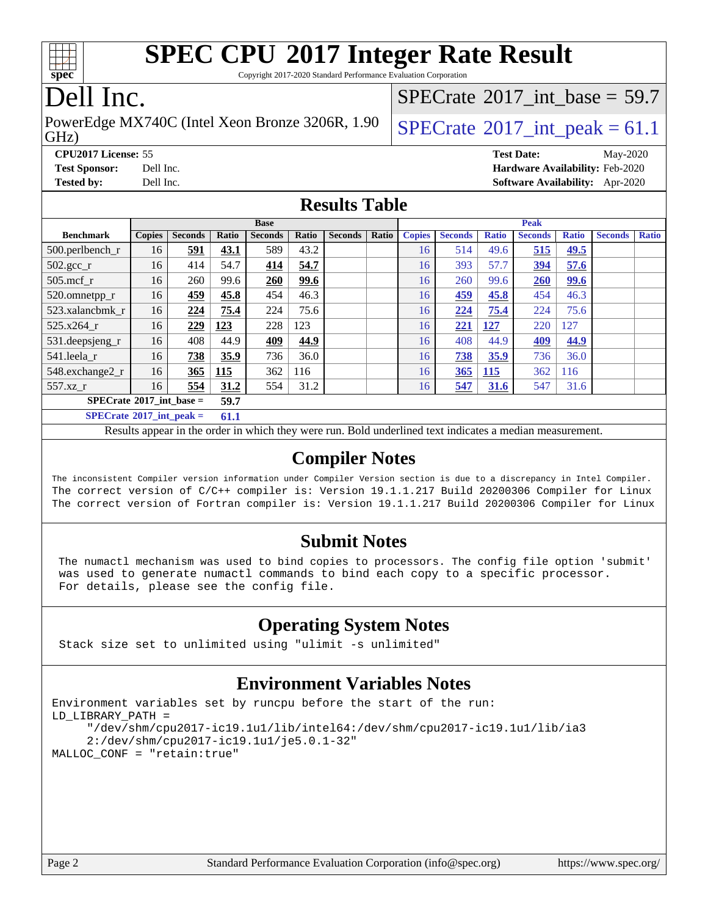

Copyright 2017-2020 Standard Performance Evaluation Corporation

## Dell Inc.

GHz) PowerEdge MX740C (Intel Xeon Bronze 3206R, 1.90  $\big|$  [SPECrate](http://www.spec.org/auto/cpu2017/Docs/result-fields.html#SPECrate2017intpeak)<sup>®</sup>2017 int peak = 61.1

[SPECrate](http://www.spec.org/auto/cpu2017/Docs/result-fields.html#SPECrate2017intbase)®2017 int\_base =  $59.7$ 

**[CPU2017 License:](http://www.spec.org/auto/cpu2017/Docs/result-fields.html#CPU2017License)** 55 **[Test Date:](http://www.spec.org/auto/cpu2017/Docs/result-fields.html#TestDate)** May-2020 **[Test Sponsor:](http://www.spec.org/auto/cpu2017/Docs/result-fields.html#TestSponsor)** Dell Inc. **[Hardware Availability:](http://www.spec.org/auto/cpu2017/Docs/result-fields.html#HardwareAvailability)** Feb-2020 **[Tested by:](http://www.spec.org/auto/cpu2017/Docs/result-fields.html#Testedby)** Dell Inc. **[Software Availability:](http://www.spec.org/auto/cpu2017/Docs/result-fields.html#SoftwareAvailability)** Apr-2020

#### **[Results Table](http://www.spec.org/auto/cpu2017/Docs/result-fields.html#ResultsTable)**

|                                           | <b>Base</b>   |                |       |                |       | Peak           |       |               |                |              |                |              |                |              |
|-------------------------------------------|---------------|----------------|-------|----------------|-------|----------------|-------|---------------|----------------|--------------|----------------|--------------|----------------|--------------|
| <b>Benchmark</b>                          | <b>Copies</b> | <b>Seconds</b> | Ratio | <b>Seconds</b> | Ratio | <b>Seconds</b> | Ratio | <b>Copies</b> | <b>Seconds</b> | <b>Ratio</b> | <b>Seconds</b> | <b>Ratio</b> | <b>Seconds</b> | <b>Ratio</b> |
| 500.perlbench_r                           | 16            | <u>591</u>     | 43.1  | 589            | 43.2  |                |       | 16            | 514            | 49.6         | 515            | <u>49.5</u>  |                |              |
| $502.\text{sec}$                          | 16            | 414            | 54.7  | 414            | 54.7  |                |       | 16            | 393            | 57.7         | <u>394</u>     | 57.6         |                |              |
| $505$ .mcf r                              | 16            | 260            | 99.6  | 260            | 99.6  |                |       | 16            | 260            | 99.6         | 260            | <u>99.6</u>  |                |              |
| 520.omnetpp_r                             | 16            | 459            | 45.8  | 454            | 46.3  |                |       | 16            | <u>459</u>     | 45.8         | 454            | 46.3         |                |              |
| 523.xalancbmk r                           | 16            | 224            | 75.4  | 224            | 75.6  |                |       | 16            | 224            | 75.4         | 224            | 75.6         |                |              |
| 525.x264 r                                | 16            | 229            | 123   | 228            | 123   |                |       | 16            | 221            | 127          | 220            | 127          |                |              |
| 531.deepsjeng_r                           | 16            | 408            | 44.9  | 409            | 44.9  |                |       | 16            | 408            | 44.9         | <u>409</u>     | 44.9         |                |              |
| 541.leela r                               | 16            | 738            | 35.9  | 736            | 36.0  |                |       | 16            | 738            | 35.9         | 736            | 36.0         |                |              |
| 548.exchange2_r                           | 16            | 365            | 115   | 362            | 116   |                |       | 16            | 365            | 115          | 362            | 116          |                |              |
| 557.xz r                                  | 16            | 554            | 31.2  | 554            | 31.2  |                |       | 16            | 547            | 31.6         | 547            | 31.6         |                |              |
| $SPECrate^{\circ}2017$ int base =<br>59.7 |               |                |       |                |       |                |       |               |                |              |                |              |                |              |
| $SPECrate^*2017\_int\_peak =$<br>61.1     |               |                |       |                |       |                |       |               |                |              |                |              |                |              |

Results appear in the [order in which they were run.](http://www.spec.org/auto/cpu2017/Docs/result-fields.html#RunOrder) Bold underlined text [indicates a median measurement.](http://www.spec.org/auto/cpu2017/Docs/result-fields.html#Median)

#### **[Compiler Notes](http://www.spec.org/auto/cpu2017/Docs/result-fields.html#CompilerNotes)**

The inconsistent Compiler version information under Compiler Version section is due to a discrepancy in Intel Compiler. The correct version of C/C++ compiler is: Version 19.1.1.217 Build 20200306 Compiler for Linux The correct version of Fortran compiler is: Version 19.1.1.217 Build 20200306 Compiler for Linux

#### **[Submit Notes](http://www.spec.org/auto/cpu2017/Docs/result-fields.html#SubmitNotes)**

 The numactl mechanism was used to bind copies to processors. The config file option 'submit' was used to generate numactl commands to bind each copy to a specific processor. For details, please see the config file.

### **[Operating System Notes](http://www.spec.org/auto/cpu2017/Docs/result-fields.html#OperatingSystemNotes)**

Stack size set to unlimited using "ulimit -s unlimited"

#### **[Environment Variables Notes](http://www.spec.org/auto/cpu2017/Docs/result-fields.html#EnvironmentVariablesNotes)**

```
Environment variables set by runcpu before the start of the run:
LD_LIBRARY_PATH =
      "/dev/shm/cpu2017-ic19.1u1/lib/intel64:/dev/shm/cpu2017-ic19.1u1/lib/ia3
      2:/dev/shm/cpu2017-ic19.1u1/je5.0.1-32"
MALLOC_CONF = "retain:true"
```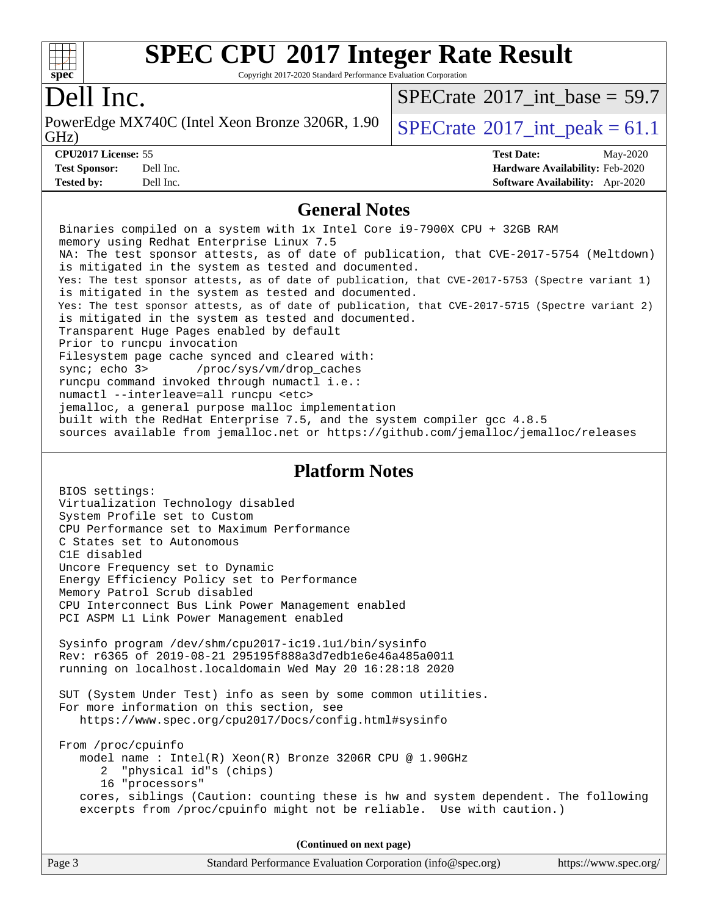

Copyright 2017-2020 Standard Performance Evaluation Corporation

## Dell Inc.

GHz) PowerEdge MX740C (Intel Xeon Bronze 3206R, 1.90  $\big|$  [SPECrate](http://www.spec.org/auto/cpu2017/Docs/result-fields.html#SPECrate2017intpeak)<sup>®</sup>2017 int peak = 61.1

[SPECrate](http://www.spec.org/auto/cpu2017/Docs/result-fields.html#SPECrate2017intbase)®2017 int\_base =  $59.7$ 

**[Tested by:](http://www.spec.org/auto/cpu2017/Docs/result-fields.html#Testedby)** Dell Inc. **[Software Availability:](http://www.spec.org/auto/cpu2017/Docs/result-fields.html#SoftwareAvailability)** Apr-2020

**[CPU2017 License:](http://www.spec.org/auto/cpu2017/Docs/result-fields.html#CPU2017License)** 55 **[Test Date:](http://www.spec.org/auto/cpu2017/Docs/result-fields.html#TestDate)** May-2020 **[Test Sponsor:](http://www.spec.org/auto/cpu2017/Docs/result-fields.html#TestSponsor)** Dell Inc. **[Hardware Availability:](http://www.spec.org/auto/cpu2017/Docs/result-fields.html#HardwareAvailability)** Feb-2020

#### **[General Notes](http://www.spec.org/auto/cpu2017/Docs/result-fields.html#GeneralNotes)**

 Binaries compiled on a system with 1x Intel Core i9-7900X CPU + 32GB RAM memory using Redhat Enterprise Linux 7.5 NA: The test sponsor attests, as of date of publication, that CVE-2017-5754 (Meltdown) is mitigated in the system as tested and documented. Yes: The test sponsor attests, as of date of publication, that CVE-2017-5753 (Spectre variant 1) is mitigated in the system as tested and documented. Yes: The test sponsor attests, as of date of publication, that CVE-2017-5715 (Spectre variant 2) is mitigated in the system as tested and documented. Transparent Huge Pages enabled by default Prior to runcpu invocation Filesystem page cache synced and cleared with: sync; echo 3> /proc/sys/vm/drop\_caches runcpu command invoked through numactl i.e.: numactl --interleave=all runcpu <etc> jemalloc, a general purpose malloc implementation built with the RedHat Enterprise 7.5, and the system compiler gcc 4.8.5 sources available from jemalloc.net or<https://github.com/jemalloc/jemalloc/releases> **[Platform Notes](http://www.spec.org/auto/cpu2017/Docs/result-fields.html#PlatformNotes)** BIOS settings: Virtualization Technology disabled System Profile set to Custom CPU Performance set to Maximum Performance C States set to Autonomous C1E disabled Uncore Frequency set to Dynamic Energy Efficiency Policy set to Performance Memory Patrol Scrub disabled CPU Interconnect Bus Link Power Management enabled PCI ASPM L1 Link Power Management enabled Sysinfo program /dev/shm/cpu2017-ic19.1u1/bin/sysinfo Rev: r6365 of 2019-08-21 295195f888a3d7edb1e6e46a485a0011 running on localhost.localdomain Wed May 20 16:28:18 2020 SUT (System Under Test) info as seen by some common utilities. For more information on this section, see <https://www.spec.org/cpu2017/Docs/config.html#sysinfo> From /proc/cpuinfo model name : Intel(R) Xeon(R) Bronze 3206R CPU @ 1.90GHz 2 "physical id"s (chips) 16 "processors" cores, siblings (Caution: counting these is hw and system dependent. The following excerpts from /proc/cpuinfo might not be reliable. Use with caution.)

**(Continued on next page)**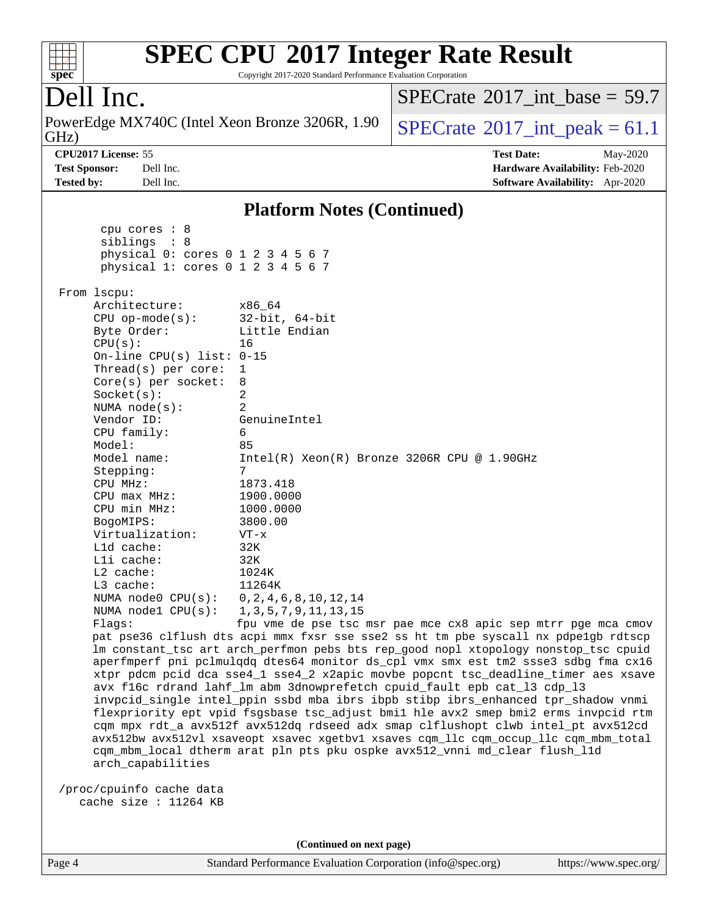| <b>SPEC CPU®2017 Integer Rate Result</b><br>Copyright 2017-2020 Standard Performance Evaluation Corporation<br>spec <sup>®</sup>                                                                                                                                                                                                                                                                                                                                                                                                                                                                                                                                                                                                 |                                                                                                                                                                                                                                                                                                                                                                                  |  |  |  |  |
|----------------------------------------------------------------------------------------------------------------------------------------------------------------------------------------------------------------------------------------------------------------------------------------------------------------------------------------------------------------------------------------------------------------------------------------------------------------------------------------------------------------------------------------------------------------------------------------------------------------------------------------------------------------------------------------------------------------------------------|----------------------------------------------------------------------------------------------------------------------------------------------------------------------------------------------------------------------------------------------------------------------------------------------------------------------------------------------------------------------------------|--|--|--|--|
| Dell Inc.                                                                                                                                                                                                                                                                                                                                                                                                                                                                                                                                                                                                                                                                                                                        | $SPECTate$ <sup>®</sup> 2017 int base = 59.7                                                                                                                                                                                                                                                                                                                                     |  |  |  |  |
| PowerEdge MX740C (Intel Xeon Bronze 3206R, 1.90<br>GHz)                                                                                                                                                                                                                                                                                                                                                                                                                                                                                                                                                                                                                                                                          | $SPECrate^{\circledast}2017\_int\_peak = 61.1$                                                                                                                                                                                                                                                                                                                                   |  |  |  |  |
| CPU2017 License: 55<br><b>Test Sponsor:</b><br>Dell Inc.<br>Dell Inc.<br><b>Tested by:</b>                                                                                                                                                                                                                                                                                                                                                                                                                                                                                                                                                                                                                                       | <b>Test Date:</b><br>May-2020<br>Hardware Availability: Feb-2020<br>Software Availability: Apr-2020                                                                                                                                                                                                                                                                              |  |  |  |  |
|                                                                                                                                                                                                                                                                                                                                                                                                                                                                                                                                                                                                                                                                                                                                  | <b>Platform Notes (Continued)</b>                                                                                                                                                                                                                                                                                                                                                |  |  |  |  |
| cpu cores : 8<br>siblings : 8<br>physical 0: cores 0 1 2 3 4 5 6 7<br>physical 1: cores 0 1 2 3 4 5 6 7                                                                                                                                                                                                                                                                                                                                                                                                                                                                                                                                                                                                                          |                                                                                                                                                                                                                                                                                                                                                                                  |  |  |  |  |
| From 1scpu:<br>Architecture:<br>x86_64<br>$32$ -bit, $64$ -bit<br>$CPU$ op-mode( $s$ ):<br>Byte Order:<br>Little Endian<br>CPU(s):<br>16<br>On-line CPU(s) list: $0-15$<br>Thread(s) per core:<br>1<br>Core(s) per socket:<br>8<br>2<br>Socket(s):<br>NUMA $node(s)$ :<br>2<br>Vendor ID:<br>GenuineIntel<br>CPU family:<br>6<br>Model:<br>85<br>Model name:<br>7<br>Stepping:<br>1873.418<br>CPU MHz:<br>CPU max MHz:<br>1900.0000<br>CPU min MHz:<br>1000.0000<br>BogoMIPS:<br>3800.00<br>Virtualization:<br>$VT - x$<br>L1d cache:<br>32K<br>Lli cache:<br>32K<br>$L2$ cache:<br>1024K<br>L3 cache:<br>11264K<br>0, 2, 4, 6, 8, 10, 12, 14<br>NUMA node0 CPU(s):<br>NUMA nodel CPU(s):<br>1, 3, 5, 7, 9, 11, 13, 15<br>Flags: | Intel(R) Xeon(R) Bronze 3206R CPU @ 1.90GHz<br>fpu vme de pse tsc msr pae mce cx8 apic sep mtrr pge mca cmov<br>pat pse36 clflush dts acpi mmx fxsr sse sse2 ss ht tm pbe syscall nx pdpe1gb rdtscp<br>lm constant_tsc art arch_perfmon pebs bts rep_good nopl xtopology nonstop_tsc cpuid<br>aperfmperf pni pclmulqdq dtes64 monitor ds_cpl vmx smx est tm2 ssse3 sdbg fma cx16 |  |  |  |  |

 xtpr pdcm pcid dca sse4\_1 sse4\_2 x2apic movbe popcnt tsc\_deadline\_timer aes xsave avx f16c rdrand lahf\_lm abm 3dnowprefetch cpuid\_fault epb cat\_l3 cdp\_l3 invpcid\_single intel\_ppin ssbd mba ibrs ibpb stibp ibrs\_enhanced tpr\_shadow vnmi flexpriority ept vpid fsgsbase tsc\_adjust bmi1 hle avx2 smep bmi2 erms invpcid rtm cqm mpx rdt\_a avx512f avx512dq rdseed adx smap clflushopt clwb intel\_pt avx512cd avx512bw avx512vl xsaveopt xsavec xgetbv1 xsaves cqm\_llc cqm\_occup\_llc cqm\_mbm\_total cqm\_mbm\_local dtherm arat pln pts pku ospke avx512\_vnni md\_clear flush\_l1d arch\_capabilities

 /proc/cpuinfo cache data cache size : 11264 KB

**(Continued on next page)**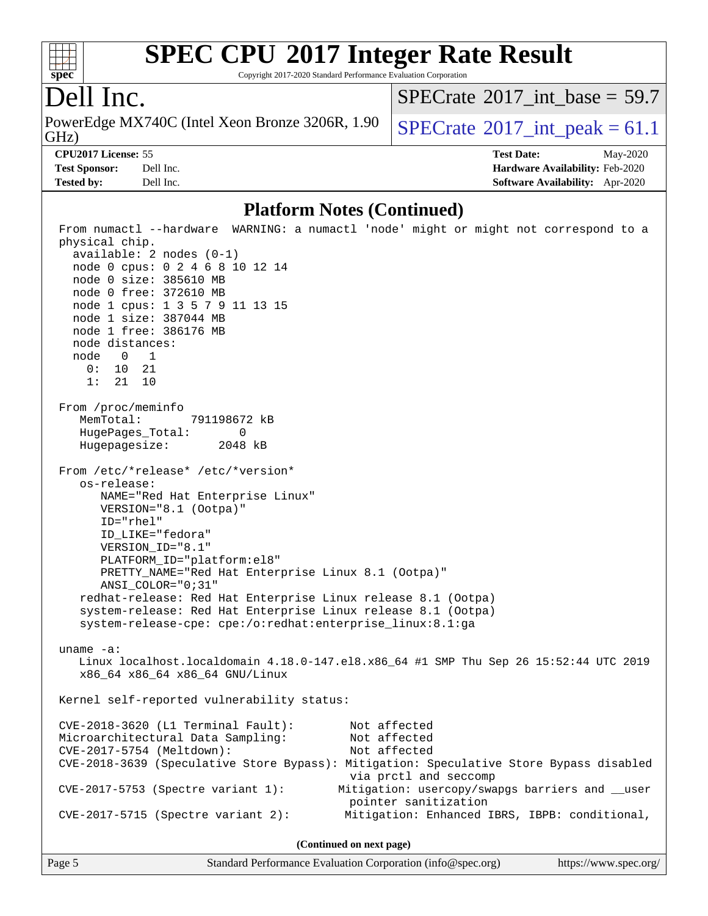

Copyright 2017-2020 Standard Performance Evaluation Corporation

## Dell Inc.

GHz) PowerEdge MX740C (Intel Xeon Bronze 3206R, 1.90  $\big|$  [SPECrate](http://www.spec.org/auto/cpu2017/Docs/result-fields.html#SPECrate2017intpeak)<sup>®</sup>2017 int peak = 61.1

[SPECrate](http://www.spec.org/auto/cpu2017/Docs/result-fields.html#SPECrate2017intbase)®2017 int\_base =  $59.7$ 

**[Tested by:](http://www.spec.org/auto/cpu2017/Docs/result-fields.html#Testedby)** Dell Inc. **[Software Availability:](http://www.spec.org/auto/cpu2017/Docs/result-fields.html#SoftwareAvailability)** Apr-2020

**[CPU2017 License:](http://www.spec.org/auto/cpu2017/Docs/result-fields.html#CPU2017License)** 55 **[Test Date:](http://www.spec.org/auto/cpu2017/Docs/result-fields.html#TestDate)** May-2020 **[Test Sponsor:](http://www.spec.org/auto/cpu2017/Docs/result-fields.html#TestSponsor)** Dell Inc. **[Hardware Availability:](http://www.spec.org/auto/cpu2017/Docs/result-fields.html#HardwareAvailability)** Feb-2020

#### **[Platform Notes \(Continued\)](http://www.spec.org/auto/cpu2017/Docs/result-fields.html#PlatformNotes)**

 From numactl --hardware WARNING: a numactl 'node' might or might not correspond to a physical chip. available: 2 nodes (0-1) node 0 cpus: 0 2 4 6 8 10 12 14 node 0 size: 385610 MB node 0 free: 372610 MB node 1 cpus: 1 3 5 7 9 11 13 15 node 1 size: 387044 MB node 1 free: 386176 MB node distances: node 0 1 0: 10 21 1: 21 10 From /proc/meminfo MemTotal: 791198672 kB HugePages\_Total: 0 Hugepagesize: 2048 kB From /etc/\*release\* /etc/\*version\* os-release: NAME="Red Hat Enterprise Linux" VERSION="8.1 (Ootpa)" ID="rhel" ID\_LIKE="fedora" VERSION\_ID="8.1" PLATFORM\_ID="platform:el8" PRETTY\_NAME="Red Hat Enterprise Linux 8.1 (Ootpa)" ANSI\_COLOR="0;31" redhat-release: Red Hat Enterprise Linux release 8.1 (Ootpa) system-release: Red Hat Enterprise Linux release 8.1 (Ootpa) system-release-cpe: cpe:/o:redhat:enterprise\_linux:8.1:ga uname -a: Linux localhost.localdomain 4.18.0-147.el8.x86\_64 #1 SMP Thu Sep 26 15:52:44 UTC 2019 x86\_64 x86\_64 x86\_64 GNU/Linux Kernel self-reported vulnerability status: CVE-2018-3620 (L1 Terminal Fault): Not affected Microarchitectural Data Sampling: Not affected CVE-2017-5754 (Meltdown): Not affected CVE-2018-3639 (Speculative Store Bypass): Mitigation: Speculative Store Bypass disabled via prctl and seccomp CVE-2017-5753 (Spectre variant 1): Mitigation: usercopy/swapgs barriers and \_\_user pointer sanitization CVE-2017-5715 (Spectre variant 2): Mitigation: Enhanced IBRS, IBPB: conditional, **(Continued on next page)**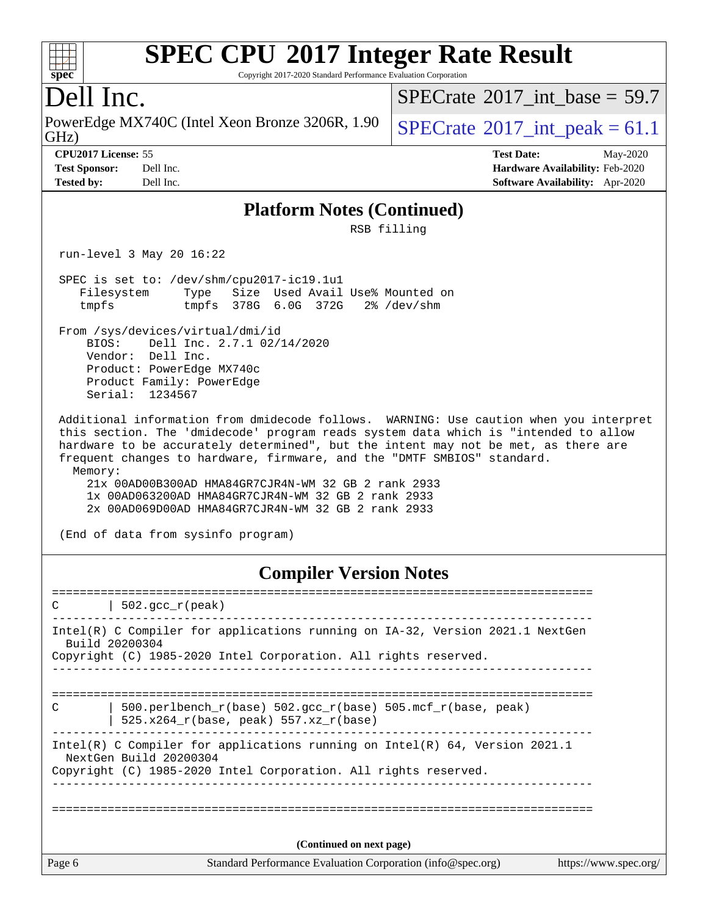#### $+\ +$ **[spec](http://www.spec.org/)**

# **[SPEC CPU](http://www.spec.org/auto/cpu2017/Docs/result-fields.html#SPECCPU2017IntegerRateResult)[2017 Integer Rate Result](http://www.spec.org/auto/cpu2017/Docs/result-fields.html#SPECCPU2017IntegerRateResult)**

Copyright 2017-2020 Standard Performance Evaluation Corporation

## Dell Inc.

GHz) PowerEdge MX740C (Intel Xeon Bronze 3206R, 1.90  $\big|$  [SPECrate](http://www.spec.org/auto/cpu2017/Docs/result-fields.html#SPECrate2017intpeak)<sup>®</sup>2017 int peak = 61.1

[SPECrate](http://www.spec.org/auto/cpu2017/Docs/result-fields.html#SPECrate2017intbase)®2017 int\_base =  $59.7$ 

**[CPU2017 License:](http://www.spec.org/auto/cpu2017/Docs/result-fields.html#CPU2017License)** 55 **[Test Date:](http://www.spec.org/auto/cpu2017/Docs/result-fields.html#TestDate)** May-2020

**[Test Sponsor:](http://www.spec.org/auto/cpu2017/Docs/result-fields.html#TestSponsor)** Dell Inc. **[Hardware Availability:](http://www.spec.org/auto/cpu2017/Docs/result-fields.html#HardwareAvailability)** Feb-2020 **[Tested by:](http://www.spec.org/auto/cpu2017/Docs/result-fields.html#Testedby)** Dell Inc. **[Software Availability:](http://www.spec.org/auto/cpu2017/Docs/result-fields.html#SoftwareAvailability)** Apr-2020

#### **[Platform Notes \(Continued\)](http://www.spec.org/auto/cpu2017/Docs/result-fields.html#PlatformNotes)**

RSB filling

run-level 3 May 20 16:22

 SPEC is set to: /dev/shm/cpu2017-ic19.1u1 Filesystem Type Size Used Avail Use% Mounted on tmpfs tmpfs 378G 6.0G 372G 2% /dev/shm

 From /sys/devices/virtual/dmi/id BIOS: Dell Inc. 2.7.1 02/14/2020 Vendor: Dell Inc. Product: PowerEdge MX740c Product Family: PowerEdge Serial: 1234567

 Additional information from dmidecode follows. WARNING: Use caution when you interpret this section. The 'dmidecode' program reads system data which is "intended to allow hardware to be accurately determined", but the intent may not be met, as there are frequent changes to hardware, firmware, and the "DMTF SMBIOS" standard. Memory:

 21x 00AD00B300AD HMA84GR7CJR4N-WM 32 GB 2 rank 2933 1x 00AD063200AD HMA84GR7CJR4N-WM 32 GB 2 rank 2933 2x 00AD069D00AD HMA84GR7CJR4N-WM 32 GB 2 rank 2933

(End of data from sysinfo program)

#### **[Compiler Version Notes](http://www.spec.org/auto/cpu2017/Docs/result-fields.html#CompilerVersionNotes)**

Page 6 Standard Performance Evaluation Corporation [\(info@spec.org\)](mailto:info@spec.org) <https://www.spec.org/> ==============================================================================  $C \qquad | \quad 502.\text{gcc\_r}(\text{peak})$ ------------------------------------------------------------------------------ Intel(R) C Compiler for applications running on IA-32, Version 2021.1 NextGen Build 20200304 Copyright (C) 1985-2020 Intel Corporation. All rights reserved. ------------------------------------------------------------------------------ ============================================================================== C  $| 500.\text{perlbench_r(base)} 502.\text{gcc_r(base)} 505.\text{mcf_r(base)} peak\rangle$ | 525.x264 $r(base, peak)$  557.xz $r(base)$ ------------------------------------------------------------------------------ Intel(R) C Compiler for applications running on Intel(R) 64, Version 2021.1 NextGen Build 20200304 Copyright (C) 1985-2020 Intel Corporation. All rights reserved. ------------------------------------------------------------------------------ ============================================================================== **(Continued on next page)**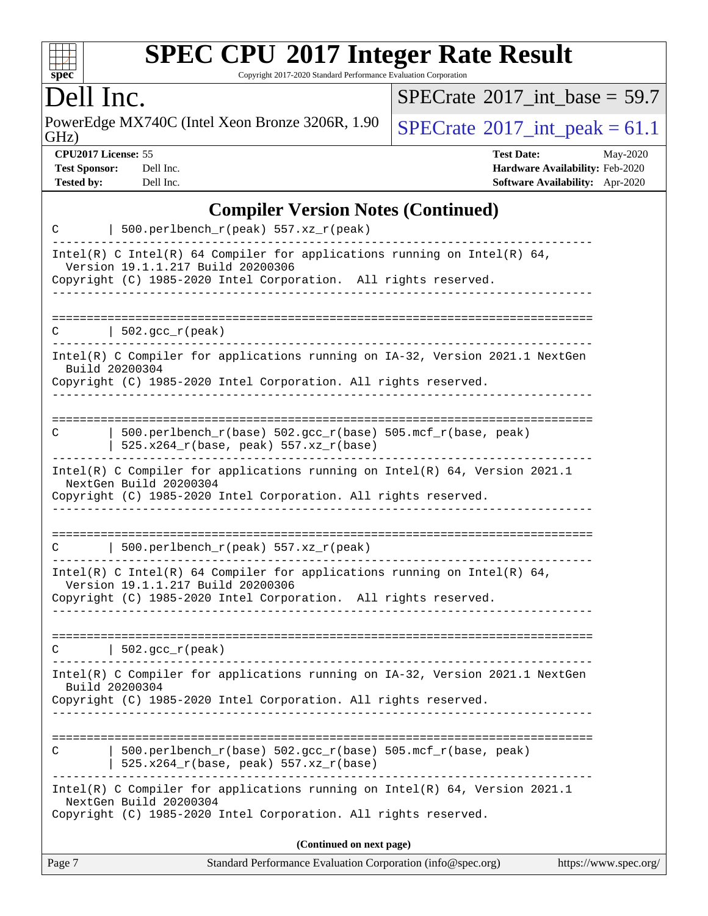

Copyright 2017-2020 Standard Performance Evaluation Corporation

## Dell Inc.

PowerEdge MX740C (Intel Xeon Bronze 3206R, 1.90<br>GHz)

 $SPECrate$ <sup>®</sup> $2017$ \_int\_base = 59.7

 $SPECTate$ <sup>®</sup>[2017\\_int\\_peak =](http://www.spec.org/auto/cpu2017/Docs/result-fields.html#SPECrate2017intpeak) 61.1

**[CPU2017 License:](http://www.spec.org/auto/cpu2017/Docs/result-fields.html#CPU2017License)** 55 **[Test Date:](http://www.spec.org/auto/cpu2017/Docs/result-fields.html#TestDate)** May-2020 **[Test Sponsor:](http://www.spec.org/auto/cpu2017/Docs/result-fields.html#TestSponsor)** Dell Inc. **[Hardware Availability:](http://www.spec.org/auto/cpu2017/Docs/result-fields.html#HardwareAvailability)** Feb-2020 **[Tested by:](http://www.spec.org/auto/cpu2017/Docs/result-fields.html#Testedby)** Dell Inc. **[Software Availability:](http://www.spec.org/auto/cpu2017/Docs/result-fields.html#SoftwareAvailability)** Apr-2020

### **[Compiler Version Notes \(Continued\)](http://www.spec.org/auto/cpu2017/Docs/result-fields.html#CompilerVersionNotes)**

| C           | 500.perlbench_r(peak) 557.xz_r(peak)                                                                                                                                             |
|-------------|----------------------------------------------------------------------------------------------------------------------------------------------------------------------------------|
|             | Intel(R) C Intel(R) 64 Compiler for applications running on Intel(R) 64,<br>Version 19.1.1.217 Build 20200306<br>Copyright (C) 1985-2020 Intel Corporation. All rights reserved. |
|             | -----------                                                                                                                                                                      |
| C           | $\vert$ 502.gcc_r(peak)                                                                                                                                                          |
|             | Intel(R) C Compiler for applications running on IA-32, Version 2021.1 NextGen<br>Build 20200304                                                                                  |
|             | Copyright (C) 1985-2020 Intel Corporation. All rights reserved.                                                                                                                  |
| C           | 500.perlbench_r(base) 502.gcc_r(base) 505.mcf_r(base, peak)<br>525.x264_r(base, peak) 557.xz_r(base)                                                                             |
|             | Intel(R) C Compiler for applications running on Intel(R) 64, Version 2021.1<br>NextGen Build 20200304<br>Copyright (C) 1985-2020 Intel Corporation. All rights reserved.         |
|             |                                                                                                                                                                                  |
| C           | 500.perlbench_r(peak) 557.xz_r(peak)                                                                                                                                             |
|             | Intel(R) C Intel(R) 64 Compiler for applications running on Intel(R) 64,<br>Version 19.1.1.217 Build 20200306<br>Copyright (C) 1985-2020 Intel Corporation. All rights reserved. |
|             |                                                                                                                                                                                  |
| $\mathbf C$ | $\vert$ 502.gcc_r(peak)                                                                                                                                                          |
|             | Intel(R) C Compiler for applications running on IA-32, Version 2021.1 NextGen<br>Build 20200304                                                                                  |
|             | Copyright (C) 1985-2020 Intel Corporation. All rights reserved.                                                                                                                  |
| C           | 500.perlbench_r(base) 502.gcc_r(base) 505.mcf_r(base, peak)<br>525.x264_r(base, peak) 557.xz_r(base)                                                                             |
|             | Intel(R) C Compiler for applications running on $Intel(R)$ 64, Version 2021.1<br>NextGen Build 20200304<br>Copyright (C) 1985-2020 Intel Corporation. All rights reserved.       |
|             | (Continued on next page)                                                                                                                                                         |
| Page 7      | Standard Performance Evaluation Corporation (info@spec.org)<br>https://www.spec.org/                                                                                             |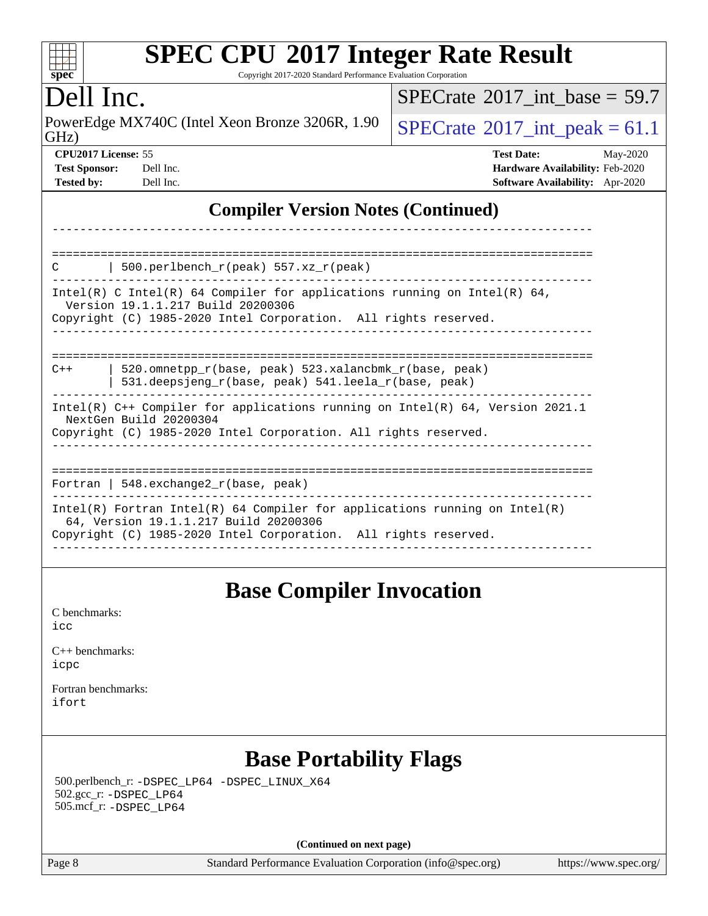| <b>SPEC CPU®2017 Integer Rate Result</b><br>spec <sup>®</sup><br>Copyright 2017-2020 Standard Performance Evaluation Corporation                                                                                                                                                                                                                                                                                                                                                                                                                                                                                                                                                                                                                                                                                            |                                                                                                     |  |  |
|-----------------------------------------------------------------------------------------------------------------------------------------------------------------------------------------------------------------------------------------------------------------------------------------------------------------------------------------------------------------------------------------------------------------------------------------------------------------------------------------------------------------------------------------------------------------------------------------------------------------------------------------------------------------------------------------------------------------------------------------------------------------------------------------------------------------------------|-----------------------------------------------------------------------------------------------------|--|--|
| Dell Inc.                                                                                                                                                                                                                                                                                                                                                                                                                                                                                                                                                                                                                                                                                                                                                                                                                   | $SPECTate$ <sup>®</sup> 2017_int_base = 59.7                                                        |  |  |
| PowerEdge MX740C (Intel Xeon Bronze 3206R, 1.90<br>GHz)                                                                                                                                                                                                                                                                                                                                                                                                                                                                                                                                                                                                                                                                                                                                                                     | $SPECrate^{\circ}2017\_int\_peak = 61.1$                                                            |  |  |
| CPU2017 License: 55<br><b>Test Sponsor:</b><br>Dell Inc.<br><b>Tested by:</b><br>Dell Inc.                                                                                                                                                                                                                                                                                                                                                                                                                                                                                                                                                                                                                                                                                                                                  | <b>Test Date:</b><br>May-2020<br>Hardware Availability: Feb-2020<br>Software Availability: Apr-2020 |  |  |
| <b>Compiler Version Notes (Continued)</b>                                                                                                                                                                                                                                                                                                                                                                                                                                                                                                                                                                                                                                                                                                                                                                                   |                                                                                                     |  |  |
| ----------<br>500.perlbench_r(peak) 557.xz_r(peak)<br>C<br>Intel(R) C Intel(R) 64 Compiler for applications running on Intel(R) 64,<br>Version 19.1.1.217 Build 20200306<br>Copyright (C) 1985-2020 Intel Corporation. All rights reserved.<br>520.omnetpp_r(base, peak) 523.xalancbmk_r(base, peak)<br>$C++$<br>531.deepsjeng_r(base, peak) 541.leela_r(base, peak)<br>Intel(R) C++ Compiler for applications running on Intel(R) 64, Version 2021.1<br>NextGen Build 20200304<br>Copyright (C) 1985-2020 Intel Corporation. All rights reserved.<br>Fortran   $548$ . exchange $2\lfloor r(\text{base}, \text{peak}) \rfloor$<br>$Intel(R)$ Fortran Intel(R) 64 Compiler for applications running on Intel(R)<br>64, Version 19.1.1.217 Build 20200306<br>Copyright (C) 1985-2020 Intel Corporation. All rights reserved. | -------------------------------                                                                     |  |  |
| <b>Base Compiler Invocation</b><br>C benchmarks:<br>icc<br>$C_{++}$ benchmarks:<br>icpc<br>Fortran benchmarks:<br>ifort                                                                                                                                                                                                                                                                                                                                                                                                                                                                                                                                                                                                                                                                                                     |                                                                                                     |  |  |
| <b>Base Portability Flags</b><br>500.perlbench_r: -DSPEC_LP64 -DSPEC_LINUX_X64                                                                                                                                                                                                                                                                                                                                                                                                                                                                                                                                                                                                                                                                                                                                              |                                                                                                     |  |  |

**(Continued on next page)**

 502.gcc\_r: [-DSPEC\\_LP64](http://www.spec.org/cpu2017/results/res2020q2/cpu2017-20200525-22482.flags.html#suite_basePORTABILITY502_gcc_r_DSPEC_LP64) 505.mcf\_r: [-DSPEC\\_LP64](http://www.spec.org/cpu2017/results/res2020q2/cpu2017-20200525-22482.flags.html#suite_basePORTABILITY505_mcf_r_DSPEC_LP64)

Page 8 Standard Performance Evaluation Corporation [\(info@spec.org\)](mailto:info@spec.org) <https://www.spec.org/>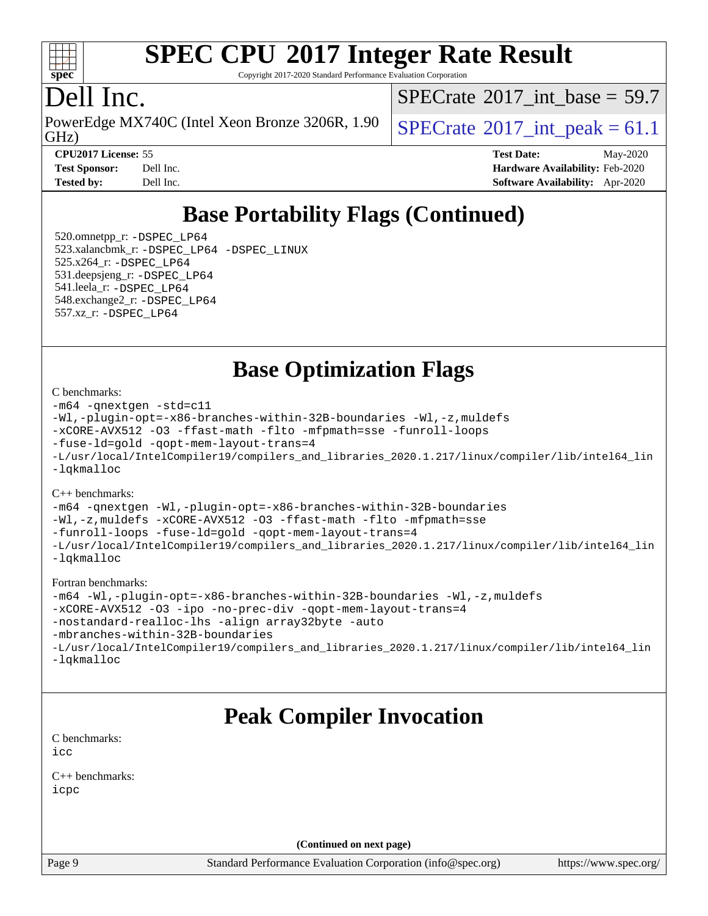

Copyright 2017-2020 Standard Performance Evaluation Corporation

## Dell Inc.

GHz) PowerEdge MX740C (Intel Xeon Bronze 3206R, 1.90  $\big|$  [SPECrate](http://www.spec.org/auto/cpu2017/Docs/result-fields.html#SPECrate2017intpeak)<sup>®</sup>2017 int peak = 61.1

[SPECrate](http://www.spec.org/auto/cpu2017/Docs/result-fields.html#SPECrate2017intbase)®2017 int\_base =  $59.7$ 

**[CPU2017 License:](http://www.spec.org/auto/cpu2017/Docs/result-fields.html#CPU2017License)** 55 **[Test Date:](http://www.spec.org/auto/cpu2017/Docs/result-fields.html#TestDate)** May-2020 **[Test Sponsor:](http://www.spec.org/auto/cpu2017/Docs/result-fields.html#TestSponsor)** Dell Inc. **[Hardware Availability:](http://www.spec.org/auto/cpu2017/Docs/result-fields.html#HardwareAvailability)** Feb-2020 **[Tested by:](http://www.spec.org/auto/cpu2017/Docs/result-fields.html#Testedby)** Dell Inc. **[Software Availability:](http://www.spec.org/auto/cpu2017/Docs/result-fields.html#SoftwareAvailability)** Apr-2020

## **[Base Portability Flags \(Continued\)](http://www.spec.org/auto/cpu2017/Docs/result-fields.html#BasePortabilityFlags)**

 520.omnetpp\_r: [-DSPEC\\_LP64](http://www.spec.org/cpu2017/results/res2020q2/cpu2017-20200525-22482.flags.html#suite_basePORTABILITY520_omnetpp_r_DSPEC_LP64) 523.xalancbmk\_r: [-DSPEC\\_LP64](http://www.spec.org/cpu2017/results/res2020q2/cpu2017-20200525-22482.flags.html#suite_basePORTABILITY523_xalancbmk_r_DSPEC_LP64) [-DSPEC\\_LINUX](http://www.spec.org/cpu2017/results/res2020q2/cpu2017-20200525-22482.flags.html#b523.xalancbmk_r_baseCXXPORTABILITY_DSPEC_LINUX) 525.x264\_r: [-DSPEC\\_LP64](http://www.spec.org/cpu2017/results/res2020q2/cpu2017-20200525-22482.flags.html#suite_basePORTABILITY525_x264_r_DSPEC_LP64) 531.deepsjeng\_r: [-DSPEC\\_LP64](http://www.spec.org/cpu2017/results/res2020q2/cpu2017-20200525-22482.flags.html#suite_basePORTABILITY531_deepsjeng_r_DSPEC_LP64) 541.leela\_r: [-DSPEC\\_LP64](http://www.spec.org/cpu2017/results/res2020q2/cpu2017-20200525-22482.flags.html#suite_basePORTABILITY541_leela_r_DSPEC_LP64) 548.exchange2\_r: [-DSPEC\\_LP64](http://www.spec.org/cpu2017/results/res2020q2/cpu2017-20200525-22482.flags.html#suite_basePORTABILITY548_exchange2_r_DSPEC_LP64) 557.xz\_r: [-DSPEC\\_LP64](http://www.spec.org/cpu2017/results/res2020q2/cpu2017-20200525-22482.flags.html#suite_basePORTABILITY557_xz_r_DSPEC_LP64)

**[Base Optimization Flags](http://www.spec.org/auto/cpu2017/Docs/result-fields.html#BaseOptimizationFlags)**

#### [C benchmarks](http://www.spec.org/auto/cpu2017/Docs/result-fields.html#Cbenchmarks):

```
-m64 -qnextgen -std=c11
-Wl,-plugin-opt=-x86-branches-within-32B-boundaries -Wl,-z,muldefs
-xCORE-AVX512 -O3 -ffast-math -flto -mfpmath=sse -funroll-loops
-fuse-ld=gold -qopt-mem-layout-trans=4
-L/usr/local/IntelCompiler19/compilers_and_libraries_2020.1.217/linux/compiler/lib/intel64_lin
-lqkmalloc
```
[C++ benchmarks](http://www.spec.org/auto/cpu2017/Docs/result-fields.html#CXXbenchmarks):

[-m64](http://www.spec.org/cpu2017/results/res2020q2/cpu2017-20200525-22482.flags.html#user_CXXbase_m64-icc) [-qnextgen](http://www.spec.org/cpu2017/results/res2020q2/cpu2017-20200525-22482.flags.html#user_CXXbase_f-qnextgen) [-Wl,-plugin-opt=-x86-branches-within-32B-boundaries](http://www.spec.org/cpu2017/results/res2020q2/cpu2017-20200525-22482.flags.html#user_CXXbase_f-x86-branches-within-32B-boundaries_0098b4e4317ae60947b7b728078a624952a08ac37a3c797dfb4ffeb399e0c61a9dd0f2f44ce917e9361fb9076ccb15e7824594512dd315205382d84209e912f3) [-Wl,-z,muldefs](http://www.spec.org/cpu2017/results/res2020q2/cpu2017-20200525-22482.flags.html#user_CXXbase_link_force_multiple1_b4cbdb97b34bdee9ceefcfe54f4c8ea74255f0b02a4b23e853cdb0e18eb4525ac79b5a88067c842dd0ee6996c24547a27a4b99331201badda8798ef8a743f577) [-xCORE-AVX512](http://www.spec.org/cpu2017/results/res2020q2/cpu2017-20200525-22482.flags.html#user_CXXbase_f-xCORE-AVX512) [-O3](http://www.spec.org/cpu2017/results/res2020q2/cpu2017-20200525-22482.flags.html#user_CXXbase_f-O3) [-ffast-math](http://www.spec.org/cpu2017/results/res2020q2/cpu2017-20200525-22482.flags.html#user_CXXbase_f-ffast-math) [-flto](http://www.spec.org/cpu2017/results/res2020q2/cpu2017-20200525-22482.flags.html#user_CXXbase_f-flto) [-mfpmath=sse](http://www.spec.org/cpu2017/results/res2020q2/cpu2017-20200525-22482.flags.html#user_CXXbase_f-mfpmath_70eb8fac26bde974f8ab713bc9086c5621c0b8d2f6c86f38af0bd7062540daf19db5f3a066d8c6684be05d84c9b6322eb3b5be6619d967835195b93d6c02afa1) [-funroll-loops](http://www.spec.org/cpu2017/results/res2020q2/cpu2017-20200525-22482.flags.html#user_CXXbase_f-funroll-loops) [-fuse-ld=gold](http://www.spec.org/cpu2017/results/res2020q2/cpu2017-20200525-22482.flags.html#user_CXXbase_f-fuse-ld_920b3586e2b8c6e0748b9c84fa9b744736ba725a32cab14ad8f3d4ad28eecb2f59d1144823d2e17006539a88734fe1fc08fc3035f7676166309105a78aaabc32) [-qopt-mem-layout-trans=4](http://www.spec.org/cpu2017/results/res2020q2/cpu2017-20200525-22482.flags.html#user_CXXbase_f-qopt-mem-layout-trans_fa39e755916c150a61361b7846f310bcdf6f04e385ef281cadf3647acec3f0ae266d1a1d22d972a7087a248fd4e6ca390a3634700869573d231a252c784941a8) [-L/usr/local/IntelCompiler19/compilers\\_and\\_libraries\\_2020.1.217/linux/compiler/lib/intel64\\_lin](http://www.spec.org/cpu2017/results/res2020q2/cpu2017-20200525-22482.flags.html#user_CXXbase_linkpath_2cb6f503891ebf8baee7515f4e7d4ec1217444d1d05903cc0091ac4158de400651d2b2313a9fa414cb8a8f0e16ab029634f5c6db340f400369c190d4db8a54a0) [-lqkmalloc](http://www.spec.org/cpu2017/results/res2020q2/cpu2017-20200525-22482.flags.html#user_CXXbase_qkmalloc_link_lib_79a818439969f771c6bc311cfd333c00fc099dad35c030f5aab9dda831713d2015205805422f83de8875488a2991c0a156aaa600e1f9138f8fc37004abc96dc5)

#### [Fortran benchmarks:](http://www.spec.org/auto/cpu2017/Docs/result-fields.html#Fortranbenchmarks)

```
-m64 -Wl,-plugin-opt=-x86-branches-within-32B-boundaries -Wl,-z,muldefs
-xCORE-AVX512 -O3 -ipo -no-prec-div -qopt-mem-layout-trans=4
-nostandard-realloc-lhs -align array32byte -auto
-mbranches-within-32B-boundaries
-L/usr/local/IntelCompiler19/compilers_and_libraries_2020.1.217/linux/compiler/lib/intel64_lin
-lqkmalloc
```
## **[Peak Compiler Invocation](http://www.spec.org/auto/cpu2017/Docs/result-fields.html#PeakCompilerInvocation)**

[C benchmarks](http://www.spec.org/auto/cpu2017/Docs/result-fields.html#Cbenchmarks): [icc](http://www.spec.org/cpu2017/results/res2020q2/cpu2017-20200525-22482.flags.html#user_CCpeak_intel_icc_66fc1ee009f7361af1fbd72ca7dcefbb700085f36577c54f309893dd4ec40d12360134090235512931783d35fd58c0460139e722d5067c5574d8eaf2b3e37e92)

[C++ benchmarks:](http://www.spec.org/auto/cpu2017/Docs/result-fields.html#CXXbenchmarks) [icpc](http://www.spec.org/cpu2017/results/res2020q2/cpu2017-20200525-22482.flags.html#user_CXXpeak_intel_icpc_c510b6838c7f56d33e37e94d029a35b4a7bccf4766a728ee175e80a419847e808290a9b78be685c44ab727ea267ec2f070ec5dc83b407c0218cded6866a35d07)

**(Continued on next page)**

Page 9 Standard Performance Evaluation Corporation [\(info@spec.org\)](mailto:info@spec.org) <https://www.spec.org/>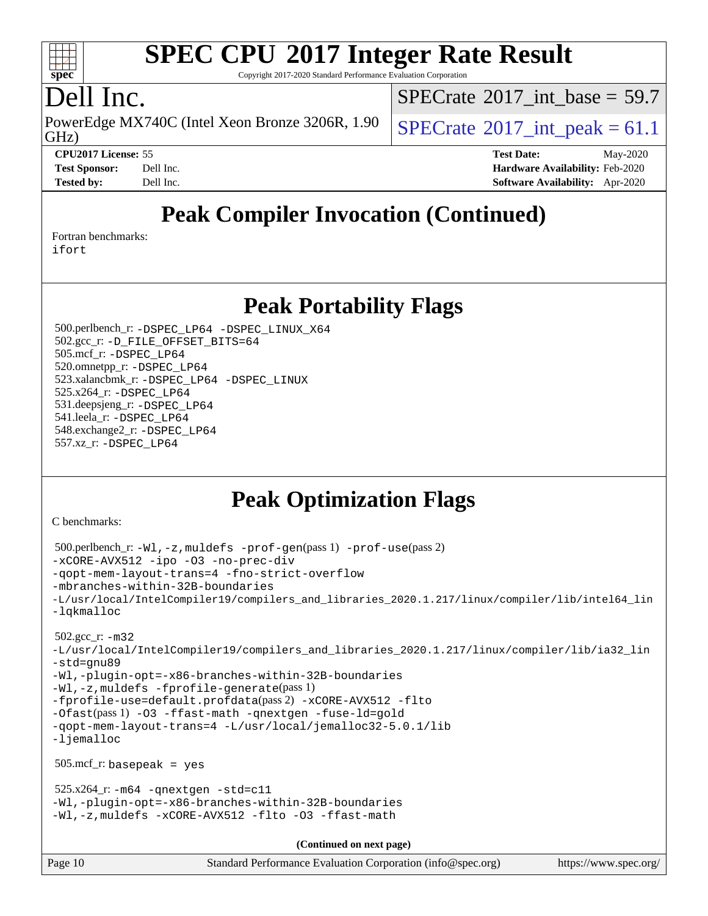

Copyright 2017-2020 Standard Performance Evaluation Corporation

## Dell Inc.

GHz) PowerEdge MX740C (Intel Xeon Bronze 3206R, 1.90  $\big|$  [SPECrate](http://www.spec.org/auto/cpu2017/Docs/result-fields.html#SPECrate2017intpeak)<sup>®</sup>2017 int peak = 61.1

[SPECrate](http://www.spec.org/auto/cpu2017/Docs/result-fields.html#SPECrate2017intbase)®2017 int\_base =  $59.7$ 

**[CPU2017 License:](http://www.spec.org/auto/cpu2017/Docs/result-fields.html#CPU2017License)** 55 **[Test Date:](http://www.spec.org/auto/cpu2017/Docs/result-fields.html#TestDate)** May-2020

**[Test Sponsor:](http://www.spec.org/auto/cpu2017/Docs/result-fields.html#TestSponsor)** Dell Inc. **[Hardware Availability:](http://www.spec.org/auto/cpu2017/Docs/result-fields.html#HardwareAvailability)** Feb-2020 **[Tested by:](http://www.spec.org/auto/cpu2017/Docs/result-fields.html#Testedby)** Dell Inc. **[Software Availability:](http://www.spec.org/auto/cpu2017/Docs/result-fields.html#SoftwareAvailability)** Apr-2020

## **[Peak Compiler Invocation \(Continued\)](http://www.spec.org/auto/cpu2017/Docs/result-fields.html#PeakCompilerInvocation)**

[Fortran benchmarks](http://www.spec.org/auto/cpu2017/Docs/result-fields.html#Fortranbenchmarks):

[ifort](http://www.spec.org/cpu2017/results/res2020q2/cpu2017-20200525-22482.flags.html#user_FCpeak_intel_ifort_8111460550e3ca792625aed983ce982f94888b8b503583aa7ba2b8303487b4d8a21a13e7191a45c5fd58ff318f48f9492884d4413fa793fd88dd292cad7027ca)

## **[Peak Portability Flags](http://www.spec.org/auto/cpu2017/Docs/result-fields.html#PeakPortabilityFlags)**

 500.perlbench\_r: [-DSPEC\\_LP64](http://www.spec.org/cpu2017/results/res2020q2/cpu2017-20200525-22482.flags.html#b500.perlbench_r_peakPORTABILITY_DSPEC_LP64) [-DSPEC\\_LINUX\\_X64](http://www.spec.org/cpu2017/results/res2020q2/cpu2017-20200525-22482.flags.html#b500.perlbench_r_peakCPORTABILITY_DSPEC_LINUX_X64) 502.gcc\_r: [-D\\_FILE\\_OFFSET\\_BITS=64](http://www.spec.org/cpu2017/results/res2020q2/cpu2017-20200525-22482.flags.html#user_peakPORTABILITY502_gcc_r_file_offset_bits_64_5ae949a99b284ddf4e95728d47cb0843d81b2eb0e18bdfe74bbf0f61d0b064f4bda2f10ea5eb90e1dcab0e84dbc592acfc5018bc955c18609f94ddb8d550002c) 505.mcf\_r: [-DSPEC\\_LP64](http://www.spec.org/cpu2017/results/res2020q2/cpu2017-20200525-22482.flags.html#suite_peakPORTABILITY505_mcf_r_DSPEC_LP64) 520.omnetpp\_r: [-DSPEC\\_LP64](http://www.spec.org/cpu2017/results/res2020q2/cpu2017-20200525-22482.flags.html#suite_peakPORTABILITY520_omnetpp_r_DSPEC_LP64) 523.xalancbmk\_r: [-DSPEC\\_LP64](http://www.spec.org/cpu2017/results/res2020q2/cpu2017-20200525-22482.flags.html#suite_peakPORTABILITY523_xalancbmk_r_DSPEC_LP64) [-DSPEC\\_LINUX](http://www.spec.org/cpu2017/results/res2020q2/cpu2017-20200525-22482.flags.html#b523.xalancbmk_r_peakCXXPORTABILITY_DSPEC_LINUX) 525.x264\_r: [-DSPEC\\_LP64](http://www.spec.org/cpu2017/results/res2020q2/cpu2017-20200525-22482.flags.html#suite_peakPORTABILITY525_x264_r_DSPEC_LP64) 531.deepsjeng\_r: [-DSPEC\\_LP64](http://www.spec.org/cpu2017/results/res2020q2/cpu2017-20200525-22482.flags.html#suite_peakPORTABILITY531_deepsjeng_r_DSPEC_LP64) 541.leela\_r: [-DSPEC\\_LP64](http://www.spec.org/cpu2017/results/res2020q2/cpu2017-20200525-22482.flags.html#suite_peakPORTABILITY541_leela_r_DSPEC_LP64) 548.exchange2\_r: [-DSPEC\\_LP64](http://www.spec.org/cpu2017/results/res2020q2/cpu2017-20200525-22482.flags.html#suite_peakPORTABILITY548_exchange2_r_DSPEC_LP64) 557.xz\_r: [-DSPEC\\_LP64](http://www.spec.org/cpu2017/results/res2020q2/cpu2017-20200525-22482.flags.html#suite_peakPORTABILITY557_xz_r_DSPEC_LP64)

## **[Peak Optimization Flags](http://www.spec.org/auto/cpu2017/Docs/result-fields.html#PeakOptimizationFlags)**

[C benchmarks](http://www.spec.org/auto/cpu2017/Docs/result-fields.html#Cbenchmarks):

```
Page 10 Standard Performance Evaluation Corporation (info@spec.org) https://www.spec.org/
  500.perlbench_r: -Wl,-z,muldefs -prof-gen(pass 1) -prof-use(pass 2)
-xCORE-AVX512 -ipo -O3 -no-prec-div
-qopt-mem-layout-trans=4 -fno-strict-overflow
-mbranches-within-32B-boundaries
-L/usr/local/IntelCompiler19/compilers_and_libraries_2020.1.217/linux/compiler/lib/intel64_lin
-lqkmalloc
  502.gcc_r: -m32
-L/usr/local/IntelCompiler19/compilers_and_libraries_2020.1.217/linux/compiler/lib/ia32_lin
-std=gnu89
-Wl,-plugin-opt=-x86-branches-within-32B-boundaries
-Wl,-z,muldefs -fprofile-generate(pass 1)
-fprofile-use=default.profdata(pass 2) -xCORE-AVX512 -flto
-Ofast(pass 1) -O3 -ffast-math -qnextgen -fuse-ld=gold
-qopt-mem-layout-trans=4 -L/usr/local/jemalloc32-5.0.1/lib
-ljemalloc
  505.mcf_r: basepeak = yes
 525.x264_r: -m64-qnextgen -std=cl1-Wl,-plugin-opt=-x86-branches-within-32B-boundaries
-Wl,-z,muldefs -xCORE-AVX512 -flto -O3 -ffast-math
                                      (Continued on next page)
```